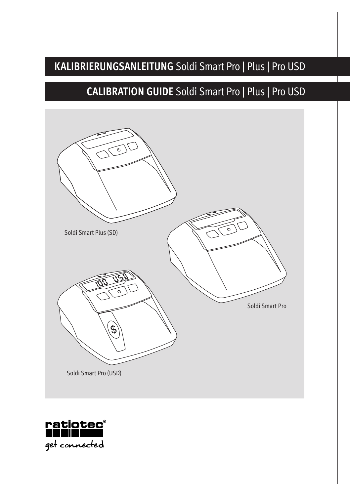## **KALIBRIERUNGSANLEITUNG** Soldi Smart Pro | Plus | Pro USD

## **CALIBRATION GUIDE** Soldi Smart Pro | Plus | Pro USD



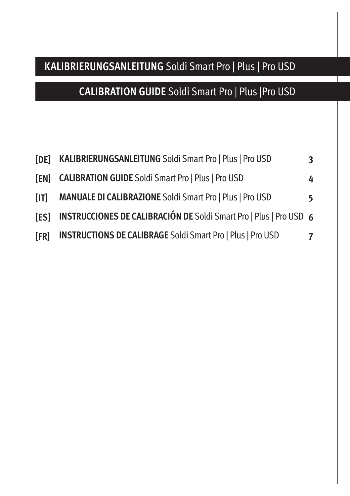### **KALIBRIERUNGSANLEITUNG** Soldi Smart Pro | Plus | Pro USD

## **CALIBRATION GUIDE** Soldi Smart Pro | Plus |Pro USD

| <b>SDE1</b> | <b>KALIBRIERUNGSANLEITUNG Soldi Smart Pro   Plus   Pro USD</b>            | 3  |
|-------------|---------------------------------------------------------------------------|----|
| <b>SENT</b> | <b>CALIBRATION GUIDE Soldi Smart Pro   Plus   Pro USD</b>                 | 4  |
| [1]         | MANUALE DI CALIBRAZIONE Soldi Smart Pro   Plus   Pro USD                  | 5. |
| <b>[ES]</b> | <b>INSTRUCCIONES DE CALIBRACIÓN DE Soldi Smart Pro   Plus   Pro USD 6</b> |    |
| [FR]        | <b>INSTRUCTIONS DE CALIBRAGE Soldi Smart Pro   Plus   Pro USD</b>         | 7  |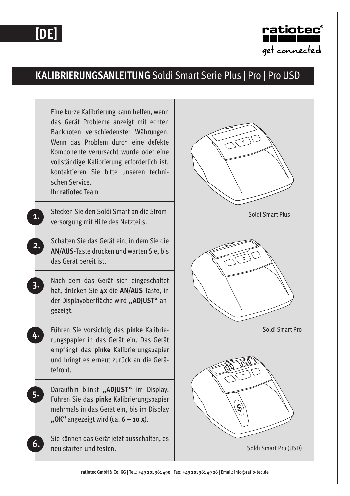## **[DE]**



#### **KALIBRIERUNGSANLEITUNG** Soldi Smart Serie Plus | Pro | Pro USD

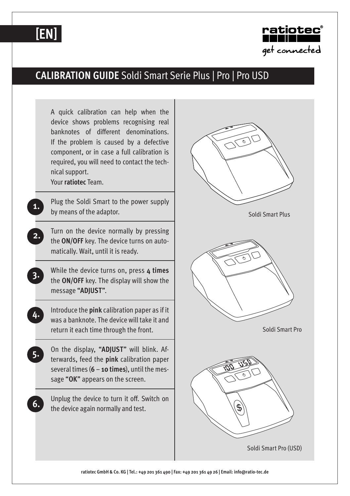# **[EN]**



#### **CALIBRATION GUIDE** Soldi Smart Serie Plus | Pro | Pro USD



**ratiotec GmbH & Co. KG | Tel.: +49 201 361 490 | Fax: +49 201 361 49 26 | Email: info@ratio-tec.de**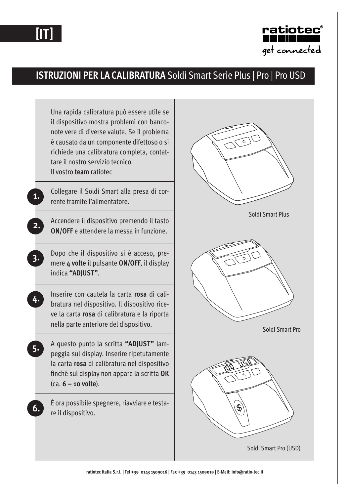



#### **ISTRUZIONI PER LA CALIBRATURA** Soldi Smart Serie Plus | Pro | Pro USD



**ratiotec Italia S.r.l. | Tel +39 0143 1509016 | Fax +39 0143 1509019 | E-Mail: info@ratio-tec.it**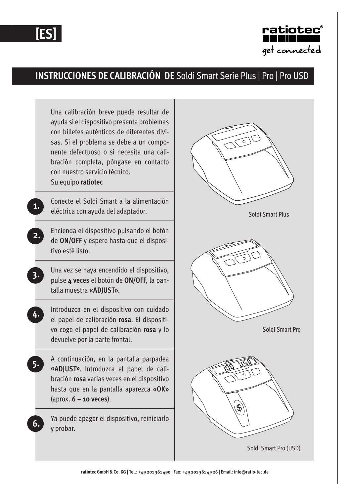



### **INSTRUCCIONES DE CALIBRACIÓN DE** Soldi Smart Serie Plus | Pro | Pro USD



**ratiotec GmbH & Co. KG | Tel.: +49 201 361 490 | Fax: +49 201 361 49 26 | Email: info@ratio-tec.de**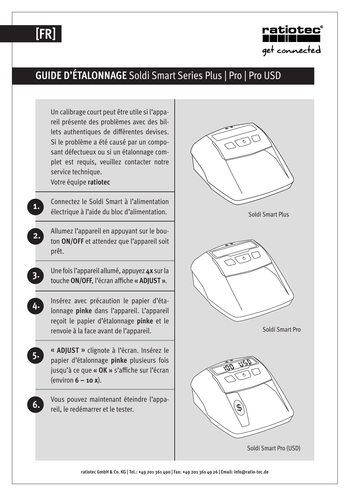# **[FR]**



### **GUIDE D'ÉTALONNAGE** Soldi Smart Series Plus | Pro | Pro USD



**ratiotec GmbH & Co. KG | Tel.: +49 201 361 490 | Fax: +49 201 361 49 26 | Email: info@ratio-tec.de**